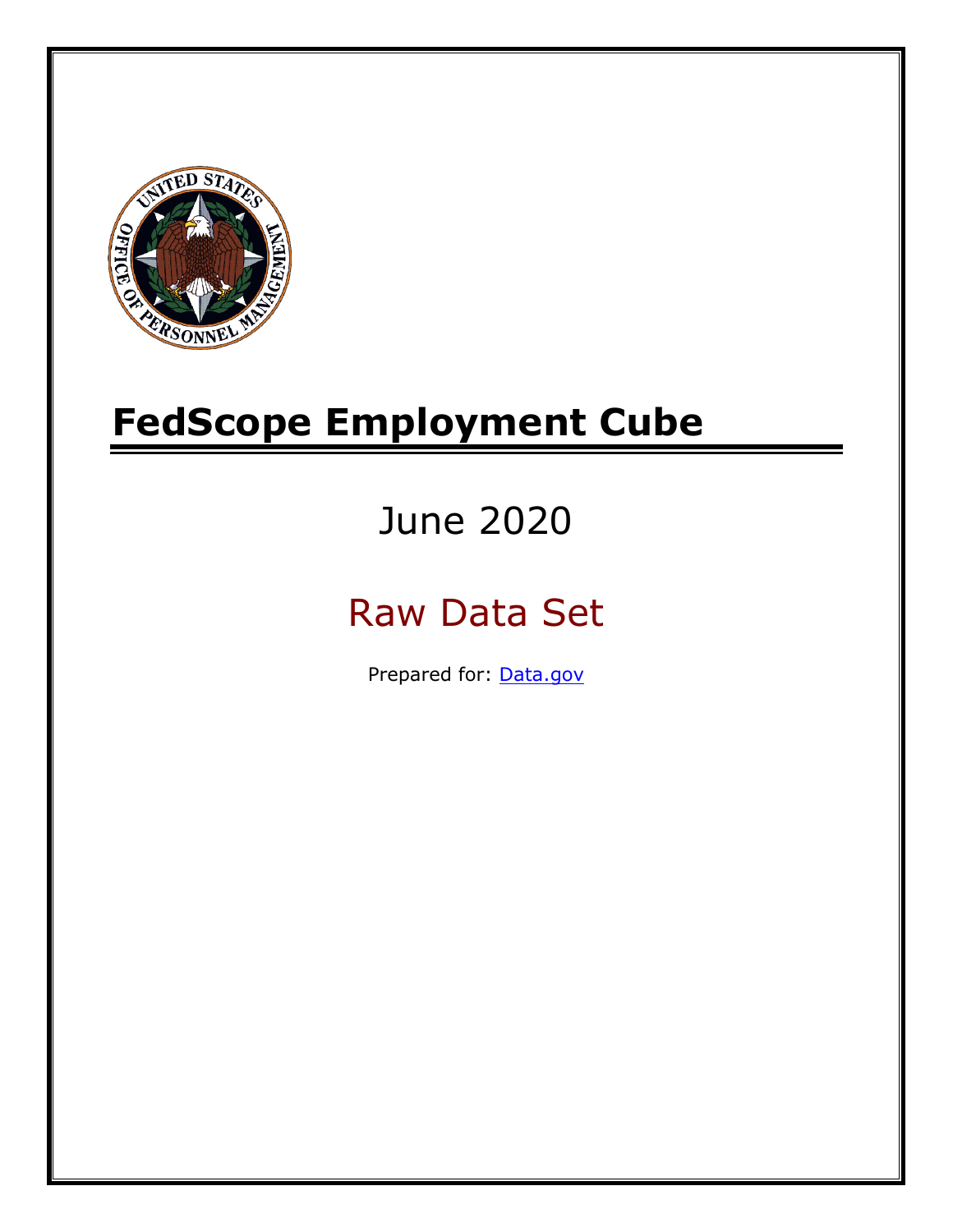

# **FedScope Employment Cube**

# June 2020

# Raw Data Set

Prepared for: [Data.gov](http://www.data.gov/)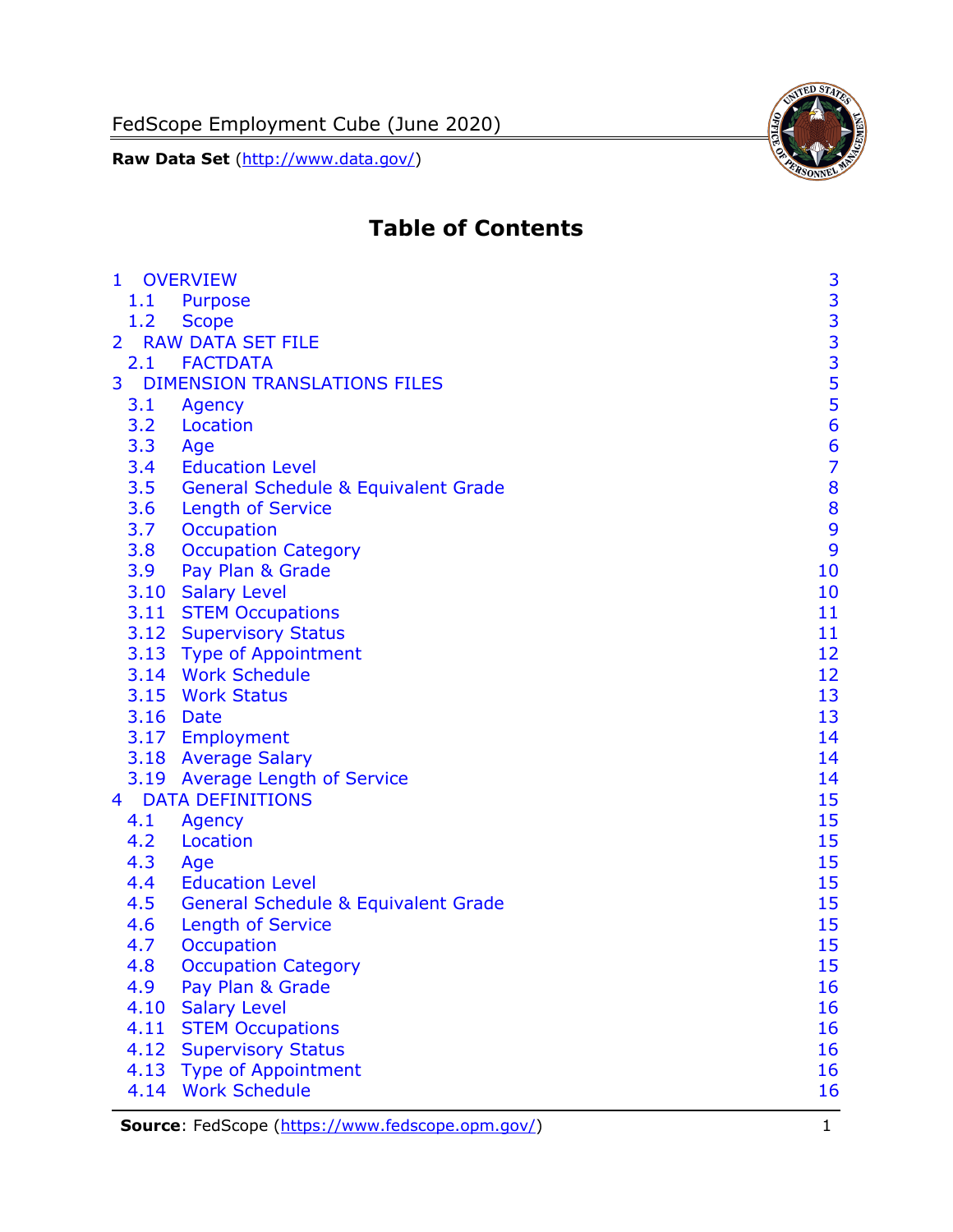

# **Table of Contents**

| $\mathbf{1}$   | <b>OVERVIEW</b>                                | 3                                          |
|----------------|------------------------------------------------|--------------------------------------------|
| 1.1            | <b>Purpose</b>                                 |                                            |
| 1.2            | <b>Scope</b>                                   |                                            |
| $\overline{2}$ | <b>RAW DATA SET FILE</b>                       | $\begin{array}{c} 3 \\ 3 \\ 3 \end{array}$ |
|                | 2.1 FACTDATA                                   |                                            |
| 3              | <b>DIMENSION TRANSLATIONS FILES</b>            |                                            |
| 3.1            | Agency                                         |                                            |
| 3.2            | Location                                       | $\frac{5}{5}$                              |
| 3.3            | Age                                            | $6\phantom{1}6$                            |
| 3.4            | <b>Education Level</b>                         | $\overline{7}$                             |
| 3.5            | <b>General Schedule &amp; Equivalent Grade</b> | 8                                          |
| 3.6            | <b>Length of Service</b>                       | 8                                          |
| 3.7            | Occupation                                     | $\overline{9}$                             |
| 3.8            | <b>Occupation Category</b>                     | 9                                          |
| 3.9            | Pay Plan & Grade                               | 10                                         |
|                | 3.10 Salary Level                              | 10                                         |
|                | 3.11 STEM Occupations                          | 11                                         |
|                | 3.12 Supervisory Status                        | 11                                         |
|                | 3.13 Type of Appointment                       | 12                                         |
|                | 3.14 Work Schedule                             | 12                                         |
|                | 3.15 Work Status                               | 13                                         |
|                | 3.16 Date                                      | 13                                         |
|                | 3.17 Employment                                | 14                                         |
|                | 3.18 Average Salary                            | 14                                         |
|                | 3.19 Average Length of Service                 | 14                                         |
| 4              | <b>DATA DEFINITIONS</b>                        | 15                                         |
| 4.1            | Agency                                         | 15                                         |
| 4.2            | Location                                       | 15                                         |
| 4.3            | Age                                            | 15                                         |
| 4.4            | <b>Education Level</b>                         | 15                                         |
| 4.5            | <b>General Schedule &amp; Equivalent Grade</b> | 15                                         |
| 4.6            | <b>Length of Service</b>                       | 15                                         |
| 4.7            | Occupation                                     | 15                                         |
| 4.8            | <b>Occupation Category</b>                     | 15                                         |
| 4.9            | Pay Plan & Grade                               | 16                                         |
| 4.10           | <b>Salary Level</b>                            | 16                                         |
| 4.11           | <b>STEM Occupations</b>                        | 16                                         |
| 4.12           | <b>Supervisory Status</b>                      | 16                                         |
| 4.13           | <b>Type of Appointment</b>                     | 16                                         |
| 4.14           | <b>Work Schedule</b>                           | 16                                         |

**Source**: FedScope [\(https://www.fedscope.opm.gov/\)](https://www.fedscope.opm.gov/) 1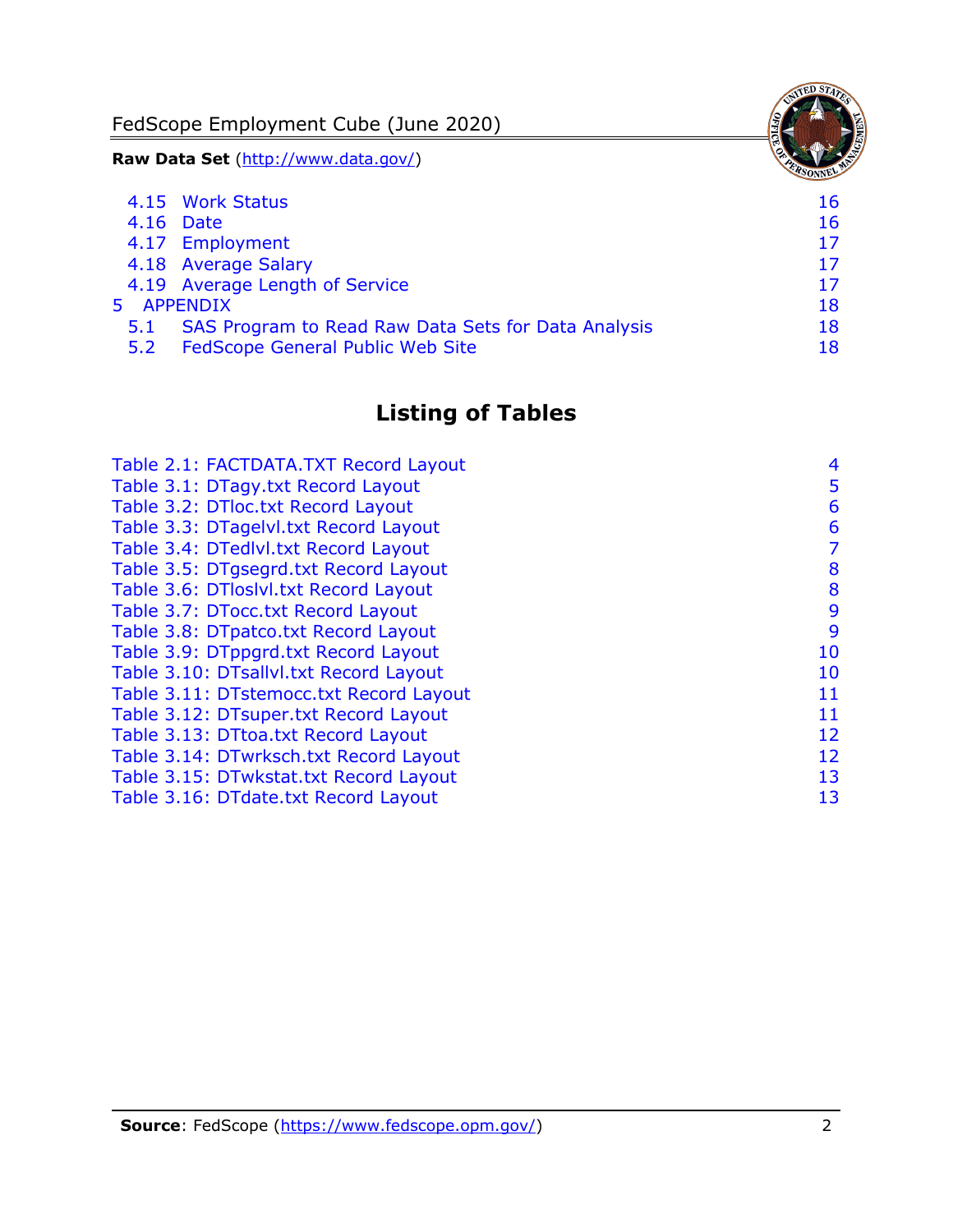FedScope Employment Cube (June 2020)

**Raw Data Set** (http://www.data.gov/)

|     | 4.15 Work Status                                    | 16 |
|-----|-----------------------------------------------------|----|
|     | 4.16 Date                                           | 16 |
|     | 4.17 Employment                                     | 17 |
|     | 4.18 Average Salary                                 | 17 |
|     | 4.19 Average Length of Service                      | 17 |
|     | 5 APPENDIX                                          | 18 |
| 5.1 | SAS Program to Read Raw Data Sets for Data Analysis | 18 |
| 5.2 | <b>FedScope General Public Web Site</b>             | 18 |

## **Listing of Tables**

| Table 2.1: FACTDATA.TXT Record Layout   | 4  |
|-----------------------------------------|----|
| Table 3.1: DTagy.txt Record Layout      | 5  |
| Table 3.2: DTloc.txt Record Layout      | 6  |
| Table 3.3: DTagelvl.txt Record Layout   | 6  |
| Table 3.4: DTedlvl.txt Record Layout    | 7  |
| Table 3.5: DTgsegrd.txt Record Layout   | 8  |
| Table 3.6: DTloslvl.txt Record Layout   | 8  |
| Table 3.7: DTocc.txt Record Layout      | 9  |
| Table 3.8: DTpatco.txt Record Layout    | 9  |
| Table 3.9: DTppgrd.txt Record Layout    | 10 |
| Table 3.10: DTsallvl.txt Record Layout  | 10 |
| Table 3.11: DTstemocc.txt Record Layout | 11 |
| Table 3.12: DTsuper.txt Record Layout   | 11 |
| Table 3.13: DTtoa.txt Record Layout     | 12 |
| Table 3.14: DTwrksch.txt Record Layout  | 12 |
| Table 3.15: DTwkstat.txt Record Layout  | 13 |
| Table 3.16: DTdate.txt Record Layout    | 13 |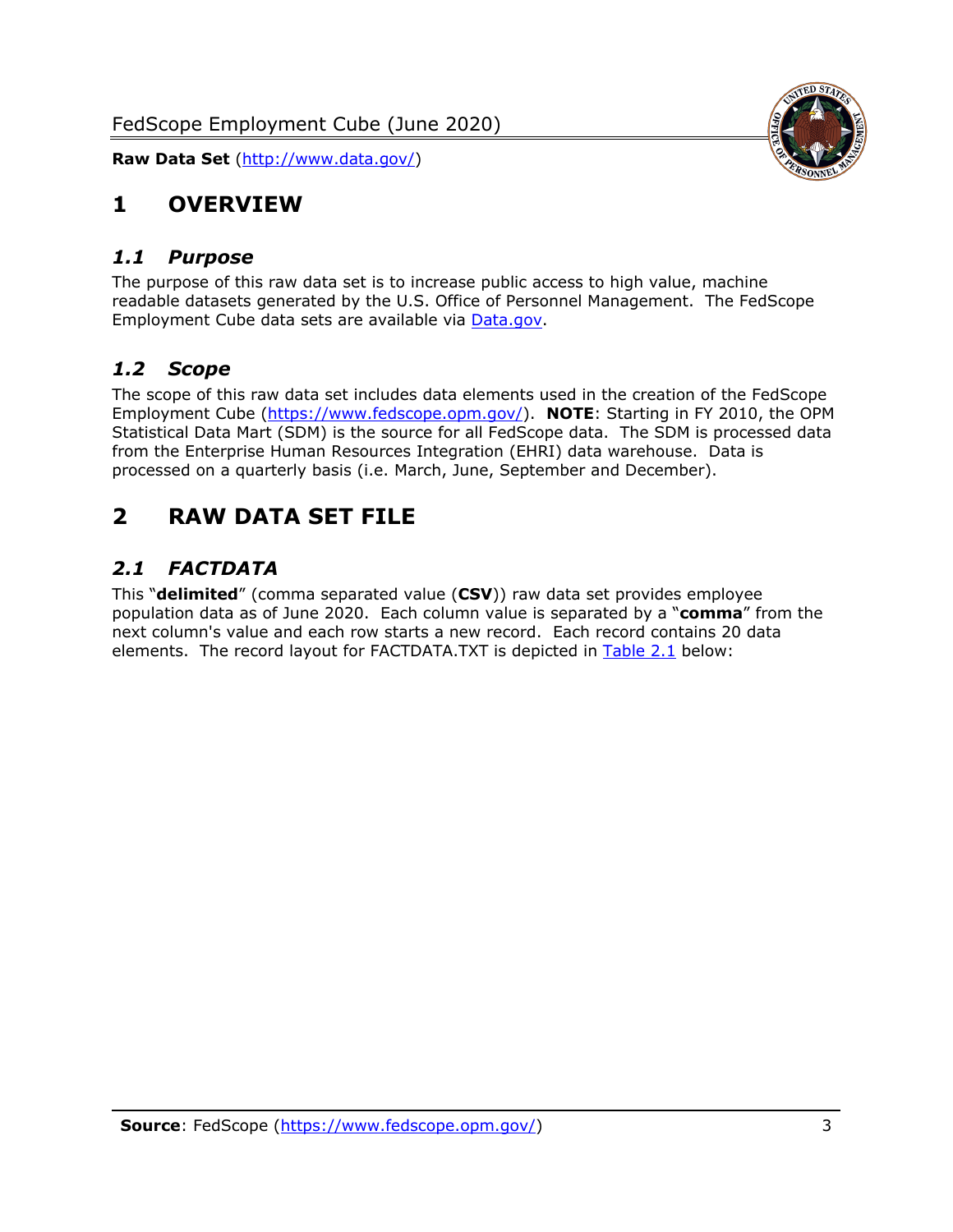

## <span id="page-3-0"></span>**1 OVERVIEW**

#### <span id="page-3-1"></span>*1.1 Purpose*

The purpose of this raw data set is to increase public access to high value, machine readable datasets generated by the U.S. Office of Personnel Management. The FedScope Employment Cube data sets are available via [Data.gov.](http://www.data.gov/)

## <span id="page-3-2"></span>*1.2 Scope*

The scope of this raw data set includes data elements used in the creation of the FedScope Employment Cube [\(https://www.fedscope.opm.gov/\)](https://www.fedscope.opm.gov/). **NOTE**: Starting in FY 2010, the OPM Statistical Data Mart (SDM) is the source for all FedScope data. The SDM is processed data from the Enterprise Human Resources Integration (EHRI) data warehouse. Data is processed on a quarterly basis (i.e. March, June, September and December).

## <span id="page-3-3"></span>**2 RAW DATA SET FILE**

## <span id="page-3-4"></span>*2.1 FACTDATA*

This "**delimited**" (comma separated value (**CSV**)) raw data set provides employee population data as of June 2020. Each column value is separated by a "**comma**" from the next column's value and each row starts a new record. Each record contains 20 data elements. The record layout for FACTDATA.TXT is depicted in [Table 2.1](#page-4-0) below: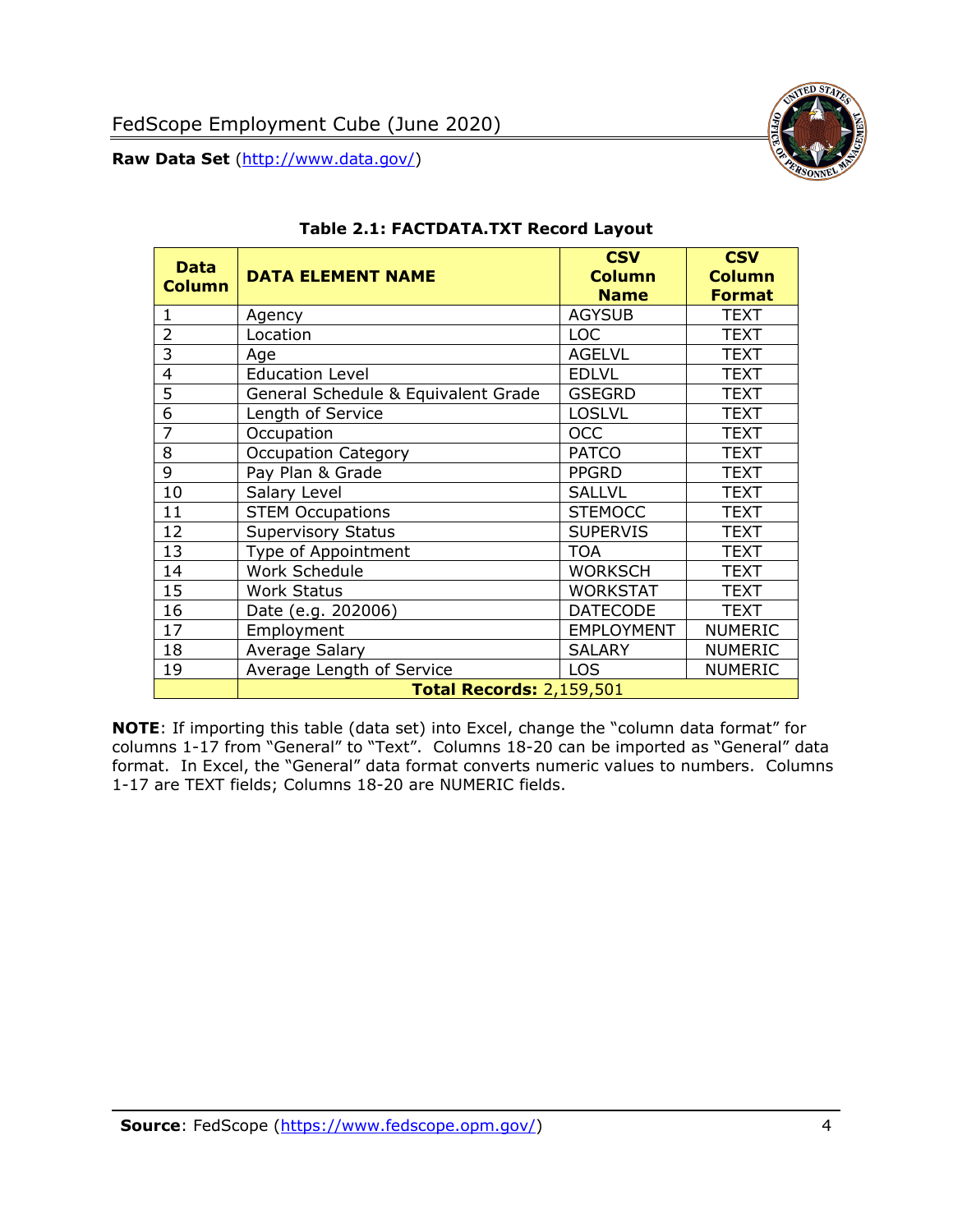<span id="page-4-0"></span>

#### **Table 2.1: FACTDATA.TXT Record Layout**

**NOTE**: If importing this table (data set) into Excel, change the "column data format" for columns 1-17 from "General" to "Text". Columns 18-20 can be imported as "General" data format. In Excel, the "General" data format converts numeric values to numbers. Columns 1-17 are TEXT fields; Columns 18-20 are NUMERIC fields.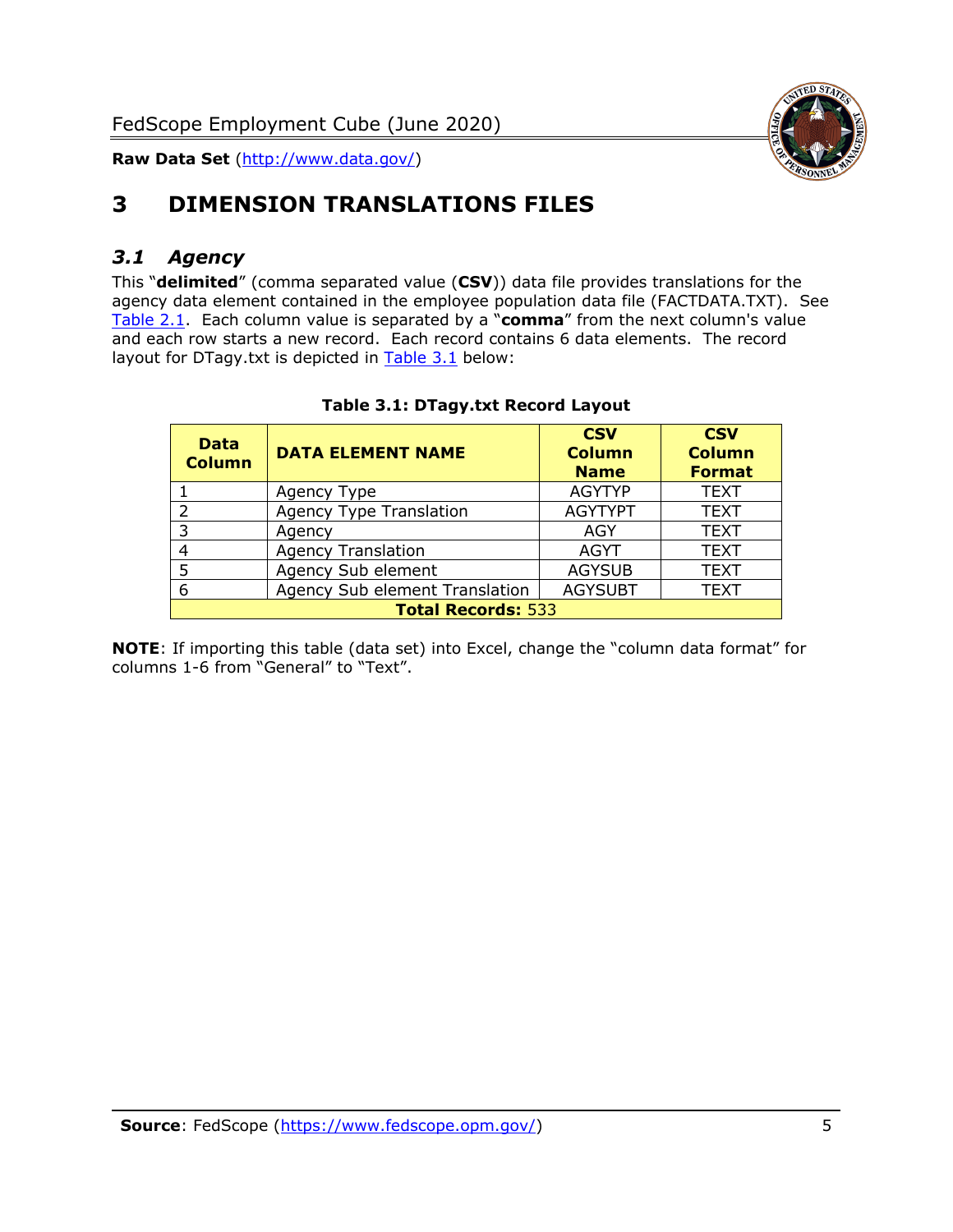

# <span id="page-5-0"></span>**3 DIMENSION TRANSLATIONS FILES**

## <span id="page-5-1"></span>*3.1 Agency*

This "**delimited**" (comma separated value (**CSV**)) data file provides translations for the agency data element contained in the employee population data file (FACTDATA.TXT). See [Table 2.1.](#page-4-0) Each column value is separated by a "**comma**" from the next column's value and each row starts a new record. Each record contains 6 data elements. The record layout for DTagy.txt is depicted in **[Table 3.1](#page-5-2)** below:

<span id="page-5-2"></span>

| <b>Data</b><br><b>Column</b> | <b>DATA ELEMENT NAME</b>       | <b>CSV</b><br><b>Column</b><br><b>Name</b> | <b>CSV</b><br><b>Column</b><br><b>Format</b> |
|------------------------------|--------------------------------|--------------------------------------------|----------------------------------------------|
|                              | Agency Type                    | <b>AGYTYP</b>                              | <b>TEXT</b>                                  |
| $\mathcal{P}$                | <b>Agency Type Translation</b> | <b>AGYTYPT</b>                             | <b>TEXT</b>                                  |
| 3                            | Agency                         | AGY                                        | <b>TEXT</b>                                  |
|                              | <b>Agency Translation</b>      | <b>AGYT</b>                                | <b>TEXT</b>                                  |
|                              | Agency Sub element             | <b>AGYSUB</b>                              | <b>TEXT</b>                                  |
| 6                            | Agency Sub element Translation | <b>AGYSUBT</b>                             | <b>TEXT</b>                                  |
| <b>Total Records: 533</b>    |                                |                                            |                                              |

#### **Table 3.1: DTagy.txt Record Layout**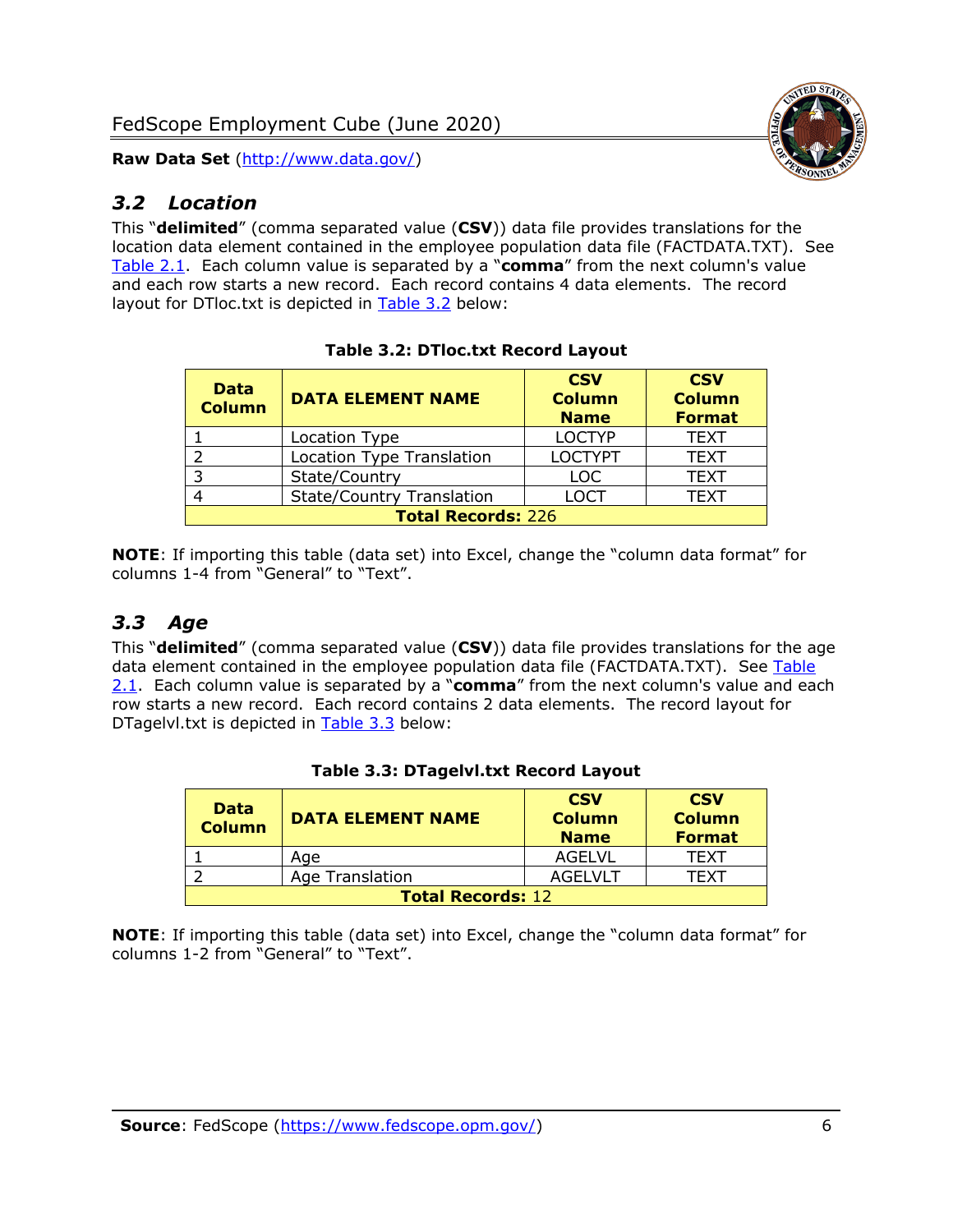## <span id="page-6-0"></span>*3.2 Location*

This "**delimited**" (comma separated value (**CSV**)) data file provides translations for the location data element contained in the employee population data file (FACTDATA.TXT). See [Table 2.1.](#page-4-0) Each column value is separated by a "**comma**" from the next column's value and each row starts a new record. Each record contains 4 data elements. The record layout for DTloc.txt is depicted in [Table 3.2](#page-6-2) below:

<span id="page-6-2"></span>

| <b>Data</b><br><b>Column</b> | <b>DATA ELEMENT NAME</b>         | <b>CSV</b><br><b>Column</b><br><b>Name</b> | <b>CSV</b><br><b>Column</b><br><b>Format</b> |  |
|------------------------------|----------------------------------|--------------------------------------------|----------------------------------------------|--|
|                              | Location Type                    | <b>LOCTYP</b>                              | <b>TEXT</b>                                  |  |
|                              | <b>Location Type Translation</b> | <b>LOCTYPT</b>                             | <b>TEXT</b>                                  |  |
|                              | State/Country                    | <b>LOC</b>                                 | <b>TEXT</b>                                  |  |
|                              | <b>State/Country Translation</b> | LOCT                                       | <b>TEXT</b>                                  |  |
| <b>Total Records: 226</b>    |                                  |                                            |                                              |  |

|  |  | <b>Table 3.2: DTloc.txt Record Layout</b> |  |  |
|--|--|-------------------------------------------|--|--|
|--|--|-------------------------------------------|--|--|

**NOTE**: If importing this table (data set) into Excel, change the "column data format" for columns 1-4 from "General" to "Text".

## <span id="page-6-1"></span>*3.3 Age*

This "**delimited**" (comma separated value (**CSV**)) data file provides translations for the age data element contained in the employee population data file (FACTDATA.TXT). See Table [2.1.](#page-4-0) Each column value is separated by a "**comma**" from the next column's value and each row starts a new record. Each record contains 2 data elements. The record layout for DTagelvl.txt is depicted in [Table 3.3](#page-6-3) below:

<span id="page-6-3"></span>

| <b>Data</b><br><b>Column</b> | <b>DATA ELEMENT NAME</b> | <b>CSV</b><br><b>Column</b><br><b>Name</b> | <b>CSV</b><br><b>Column</b><br><b>Format</b> |
|------------------------------|--------------------------|--------------------------------------------|----------------------------------------------|
|                              | Age                      | AGELVL                                     | TFXT                                         |
|                              | Age Translation          | AGEL VLT                                   | TFXT                                         |
| <b>Total Records: 12</b>     |                          |                                            |                                              |

#### **Table 3.3: DTagelvl.txt Record Layout**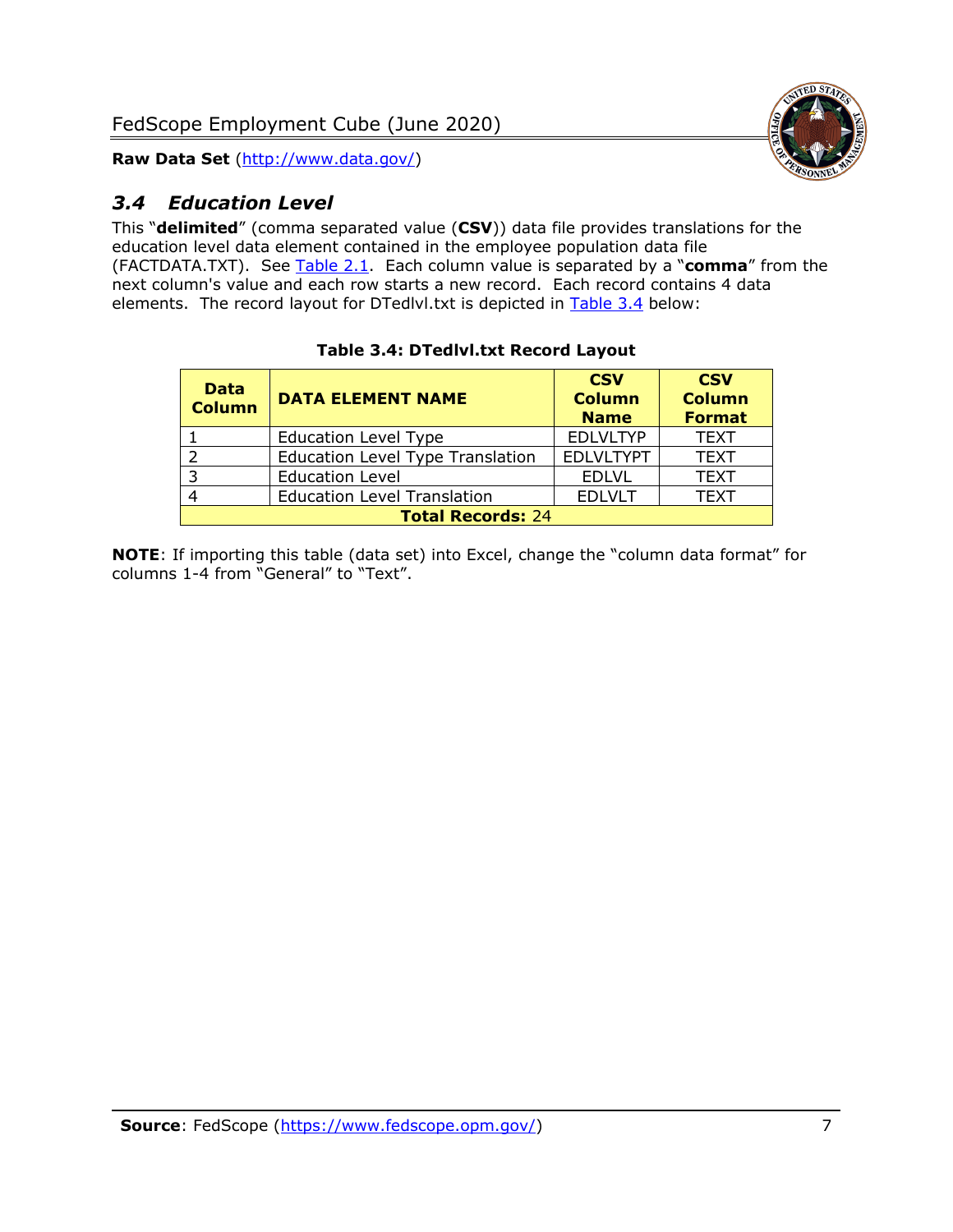

## <span id="page-7-0"></span>*3.4 Education Level*

This "**delimited**" (comma separated value (**CSV**)) data file provides translations for the education level data element contained in the employee population data file (FACTDATA.TXT). See [Table 2.1.](#page-4-0) Each column value is separated by a "**comma**" from the next column's value and each row starts a new record. Each record contains 4 data elements. The record layout for DTedlvl.txt is depicted in [Table 3.4](#page-7-1) below:

<span id="page-7-1"></span>

| <b>Data</b><br><b>Column</b> | <b>DATA ELEMENT NAME</b>                | <b>CSV</b><br><b>Column</b><br><b>Name</b> | <b>CSV</b><br><b>Column</b><br><b>Format</b> |  |
|------------------------------|-----------------------------------------|--------------------------------------------|----------------------------------------------|--|
|                              | <b>Education Level Type</b>             | <b>EDLVLTYP</b>                            | <b>TEXT</b>                                  |  |
| っ                            | <b>Education Level Type Translation</b> | <b>EDLVLTYPT</b>                           | <b>TEXT</b>                                  |  |
| 3                            | <b>Education Level</b>                  | <b>EDLVL</b>                               | <b>TEXT</b>                                  |  |
|                              | <b>Education Level Translation</b>      | <b>EDLVLT</b>                              | <b>TEXT</b>                                  |  |
| <b>Total Records: 24</b>     |                                         |                                            |                                              |  |

#### **Table 3.4: DTedlvl.txt Record Layout**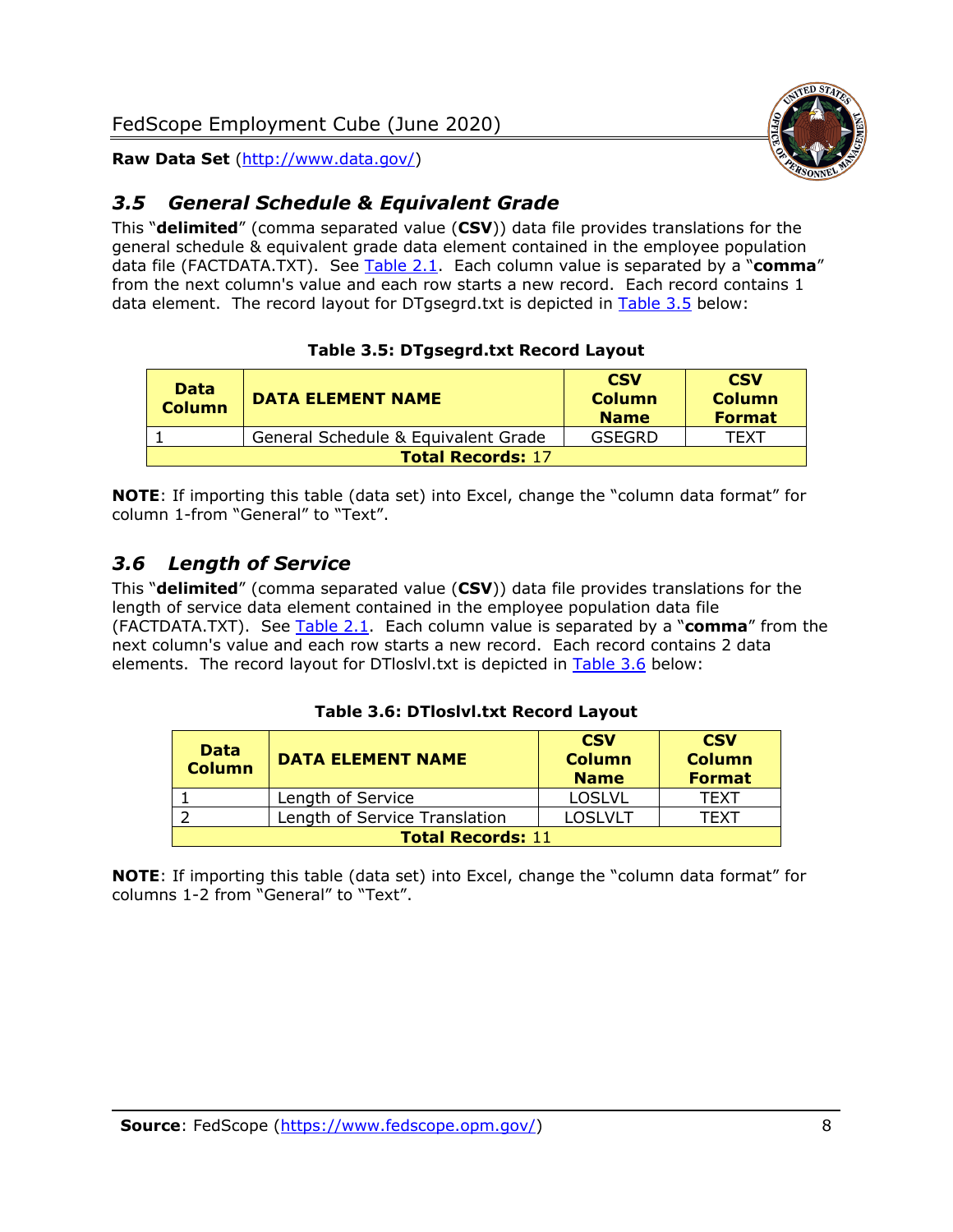

## <span id="page-8-0"></span>*3.5 General Schedule & Equivalent Grade*

This "**delimited**" (comma separated value (**CSV**)) data file provides translations for the general schedule & equivalent grade data element contained in the employee population data file (FACTDATA.TXT). See [Table 2.1.](#page-4-0) Each column value is separated by a "**comma**" from the next column's value and each row starts a new record. Each record contains 1 data element. The record layout for DTgsegrd.txt is depicted in [Table 3.5](#page-8-2) below:

#### **Table 3.5: DTgsegrd.txt Record Layout**

<span id="page-8-2"></span>

| <b>Data</b><br><b>Column</b> | <b>DATA ELEMENT NAME</b>            | <b>CSV</b><br><b>Column</b><br><b>Name</b> | <b>CSV</b><br><b>Column</b><br><b>Format</b> |  |
|------------------------------|-------------------------------------|--------------------------------------------|----------------------------------------------|--|
|                              | General Schedule & Equivalent Grade | GSEGRD                                     | TFXT                                         |  |
| <b>Total Records: 17</b>     |                                     |                                            |                                              |  |

**NOTE**: If importing this table (data set) into Excel, change the "column data format" for column 1-from "General" to "Text".

## <span id="page-8-1"></span>*3.6 Length of Service*

This "**delimited**" (comma separated value (**CSV**)) data file provides translations for the length of service data element contained in the employee population data file (FACTDATA.TXT). See [Table 2.1.](#page-4-0) Each column value is separated by a "**comma**" from the next column's value and each row starts a new record. Each record contains 2 data elements. The record layout for DTloslvl.txt is depicted in [Table 3.6](#page-8-3) below:

#### **Table 3.6: DTloslvl.txt Record Layout**

<span id="page-8-3"></span>

| <b>Data</b><br><b>Column</b> | <b>DATA ELEMENT NAME</b>      | <b>CSV</b><br><b>Column</b><br><b>Name</b> | <b>CSV</b><br><b>Column</b><br><b>Format</b> |
|------------------------------|-------------------------------|--------------------------------------------|----------------------------------------------|
|                              | Length of Service             | <b>LOSLVL</b>                              | TFXT                                         |
|                              | Length of Service Translation | <b>LOSLVLT</b>                             | TFXT                                         |
| <b>Total Records: 11</b>     |                               |                                            |                                              |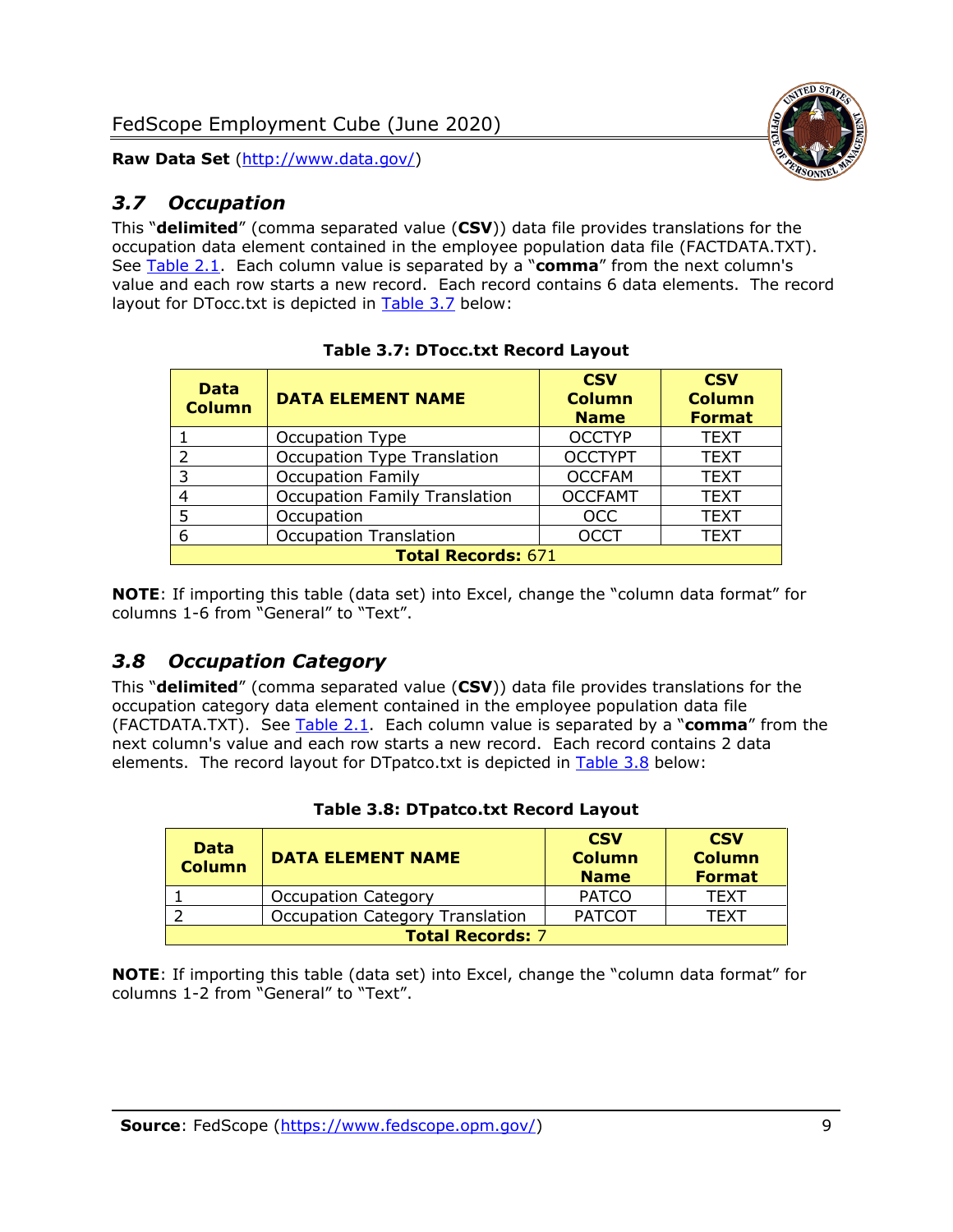## <span id="page-9-0"></span>*3.7 Occupation*

This "**delimited**" (comma separated value (**CSV**)) data file provides translations for the occupation data element contained in the employee population data file (FACTDATA.TXT). See [Table 2.1.](#page-4-0) Each column value is separated by a "**comma**" from the next column's value and each row starts a new record. Each record contains 6 data elements. The record layout for DTocc.txt is depicted in [Table 3.7](#page-9-2) below:

<span id="page-9-2"></span>

| <b>Data</b><br><b>Column</b> | <b>DATA ELEMENT NAME</b>             | <b>CSV</b><br><b>Column</b><br><b>Name</b> | <b>CSV</b><br><b>Column</b><br><b>Format</b> |  |  |
|------------------------------|--------------------------------------|--------------------------------------------|----------------------------------------------|--|--|
|                              | Occupation Type                      | <b>OCCTYP</b>                              | <b>TEXT</b>                                  |  |  |
| 2                            | Occupation Type Translation          | <b>OCCTYPT</b>                             | <b>TEXT</b>                                  |  |  |
| 3                            | <b>Occupation Family</b>             | <b>OCCFAM</b>                              | <b>TEXT</b>                                  |  |  |
| 4                            | <b>Occupation Family Translation</b> | <b>OCCFAMT</b>                             | <b>TEXT</b>                                  |  |  |
| 5                            | Occupation                           | <b>OCC</b>                                 | <b>TEXT</b>                                  |  |  |
| 6                            | <b>Occupation Translation</b>        | <b>OCCT</b>                                | <b>TEXT</b>                                  |  |  |
|                              | <b>Total Records: 671</b>            |                                            |                                              |  |  |

|  | <b>Table 3.7: DTocc.txt Record Layout</b> |  |  |
|--|-------------------------------------------|--|--|
|--|-------------------------------------------|--|--|

**NOTE**: If importing this table (data set) into Excel, change the "column data format" for columns 1-6 from "General" to "Text".

## <span id="page-9-1"></span>*3.8 Occupation Category*

This "**delimited**" (comma separated value (**CSV**)) data file provides translations for the occupation category data element contained in the employee population data file (FACTDATA.TXT). See [Table 2.1.](#page-4-0) Each column value is separated by a "**comma**" from the next column's value and each row starts a new record. Each record contains 2 data elements. The record layout for DTpatco.txt is depicted in [Table 3.8](#page-9-3) below:

<span id="page-9-3"></span>

| <b>Data</b><br><b>Column</b> | <b>DATA ELEMENT NAME</b>               | <b>CSV</b><br><b>Column</b><br><b>Name</b> | <b>CSV</b><br><b>Column</b><br><b>Format</b> |  |
|------------------------------|----------------------------------------|--------------------------------------------|----------------------------------------------|--|
|                              | <b>Occupation Category</b>             | <b>PATCO</b>                               | <b>TEXT</b>                                  |  |
|                              | <b>Occupation Category Translation</b> | <b>PATCOT</b>                              | <b>TFXT</b>                                  |  |
| <b>Total Records: 7</b>      |                                        |                                            |                                              |  |

#### **Table 3.8: DTpatco.txt Record Layout**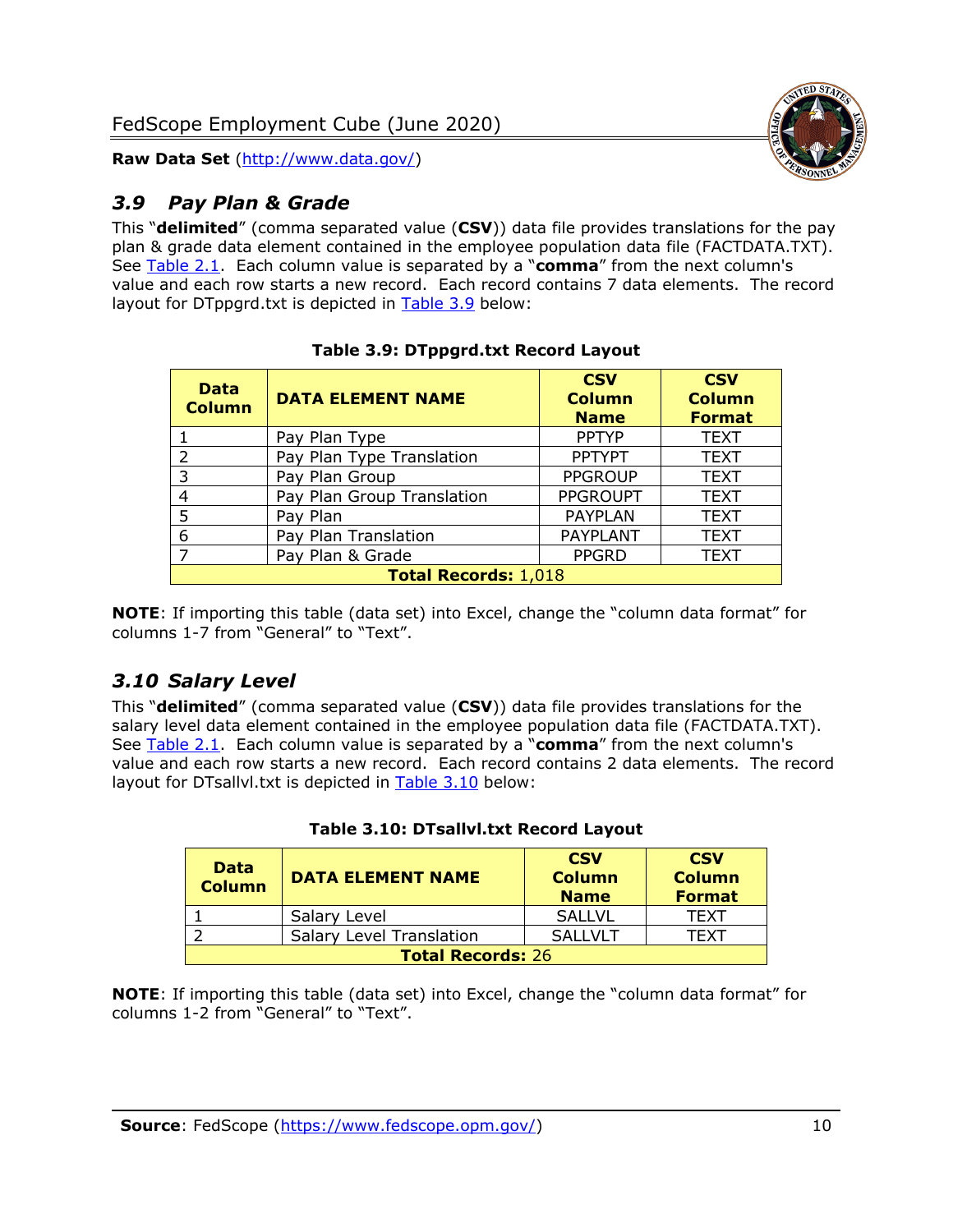



## <span id="page-10-0"></span>*3.9 Pay Plan & Grade*

This "**delimited**" (comma separated value (**CSV**)) data file provides translations for the pay plan & grade data element contained in the employee population data file (FACTDATA.TXT). See [Table 2.1.](#page-4-0) Each column value is separated by a "**comma**" from the next column's value and each row starts a new record. Each record contains 7 data elements. The record layout for DTppgrd.txt is depicted in [Table 3.9](#page-10-2) below:

<span id="page-10-2"></span>

| <b>Data</b><br><b>Column</b> | <b>DATA ELEMENT NAME</b>   | <b>CSV</b><br><b>Column</b><br><b>Name</b> | <b>CSV</b><br><b>Column</b><br><b>Format</b> |  |
|------------------------------|----------------------------|--------------------------------------------|----------------------------------------------|--|
|                              | Pay Plan Type              | <b>PPTYP</b>                               | <b>TEXT</b>                                  |  |
| 2                            | Pay Plan Type Translation  | <b>PPTYPT</b>                              | <b>TEXT</b>                                  |  |
| 3                            | Pay Plan Group             | <b>PPGROUP</b>                             | <b>TEXT</b>                                  |  |
| 4                            | Pay Plan Group Translation | <b>PPGROUPT</b>                            | <b>TEXT</b>                                  |  |
| 5                            | Pay Plan                   | <b>PAYPLAN</b>                             | <b>TEXT</b>                                  |  |
| 6                            | Pay Plan Translation       | <b>PAYPLANT</b>                            | <b>TEXT</b>                                  |  |
| $\overline{ }$               | Pay Plan & Grade           | <b>PPGRD</b>                               | <b>TEXT</b>                                  |  |
| <b>Total Records: 1,018</b>  |                            |                                            |                                              |  |

#### **Table 3.9: DTppgrd.txt Record Layout**

**NOTE**: If importing this table (data set) into Excel, change the "column data format" for columns 1-7 from "General" to "Text".

## <span id="page-10-1"></span>*3.10 Salary Level*

This "**delimited**" (comma separated value (**CSV**)) data file provides translations for the salary level data element contained in the employee population data file (FACTDATA.TXT). See [Table 2.1.](#page-4-0) Each column value is separated by a "**comma**" from the next column's value and each row starts a new record. Each record contains 2 data elements. The record layout for DTsallvl.txt is depicted in [Table 3.10](#page-10-3) below:

<span id="page-10-3"></span>

| <b>Data</b><br><b>Column</b> | <b>DATA ELEMENT NAME</b>        | <b>CSV</b><br><b>Column</b><br><b>Name</b> | <b>CSV</b><br><b>Column</b><br><b>Format</b> |
|------------------------------|---------------------------------|--------------------------------------------|----------------------------------------------|
|                              | Salary Level                    | <b>SALLVL</b>                              | <b>TFXT</b>                                  |
|                              | <b>Salary Level Translation</b> | <b>SALLVLT</b>                             | TFXT                                         |
| <b>Total Records: 26</b>     |                                 |                                            |                                              |

#### **Table 3.10: DTsallvl.txt Record Layout**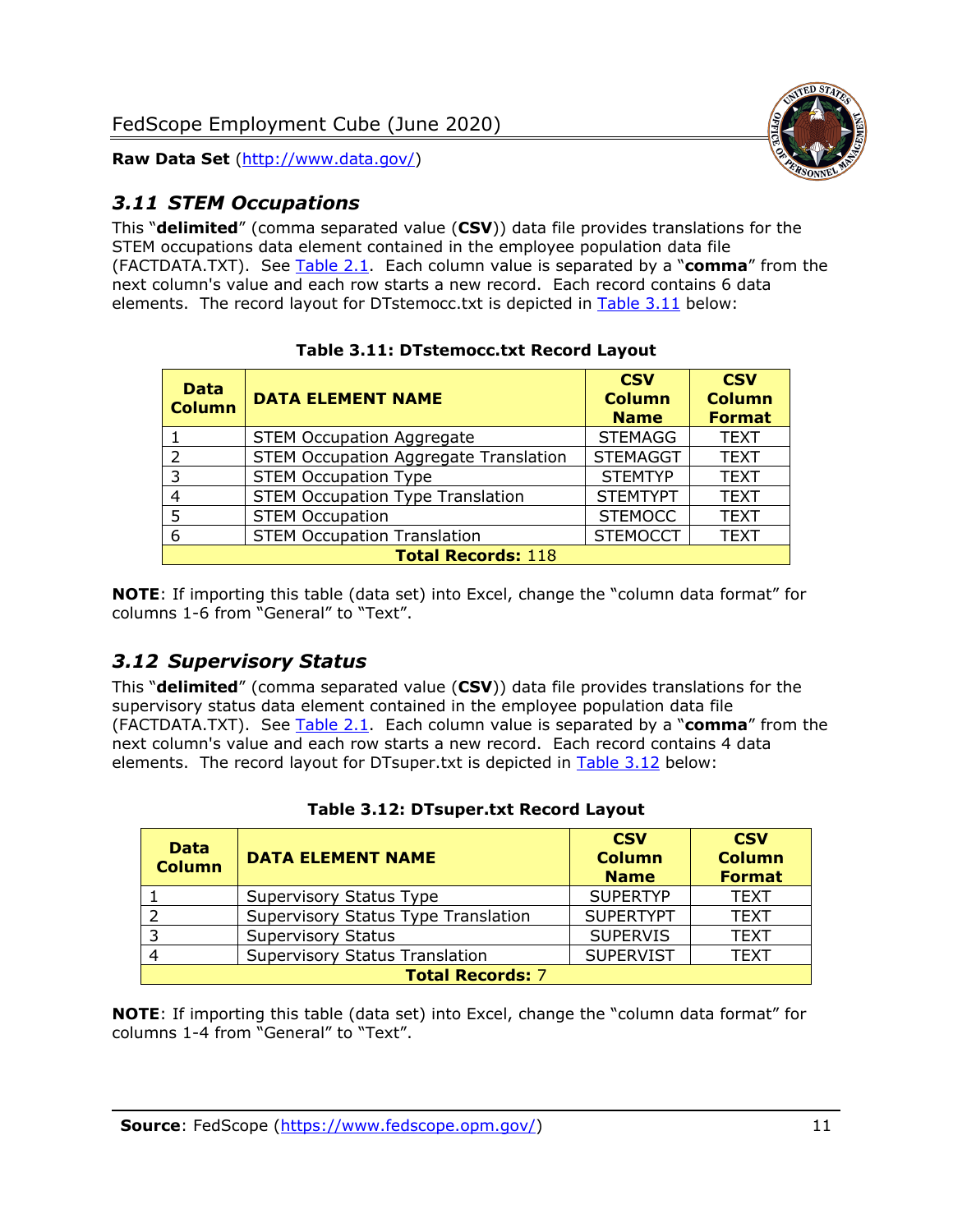

## <span id="page-11-0"></span>*3.11 STEM Occupations*

This "**delimited**" (comma separated value (**CSV**)) data file provides translations for the STEM occupations data element contained in the employee population data file (FACTDATA.TXT). See [Table 2.1.](#page-4-0) Each column value is separated by a "**comma**" from the next column's value and each row starts a new record. Each record contains 6 data elements. The record layout for DTstemocc.txt is depicted in [Table 3.11](#page-11-2) below:

<span id="page-11-2"></span>

| <b>Data</b><br><b>Column</b> | <b>DATA ELEMENT NAME</b>                     | <b>CSV</b><br><b>Column</b><br><b>Name</b> | <b>CSV</b><br><b>Column</b><br><b>Format</b> |  |
|------------------------------|----------------------------------------------|--------------------------------------------|----------------------------------------------|--|
|                              | <b>STEM Occupation Aggregate</b>             | <b>STEMAGG</b>                             | <b>TEXT</b>                                  |  |
| $\mathcal{P}$                | <b>STEM Occupation Aggregate Translation</b> | <b>STEMAGGT</b>                            | <b>TEXT</b>                                  |  |
| 3                            | <b>STEM Occupation Type</b>                  | <b>STEMTYP</b>                             | <b>TEXT</b>                                  |  |
|                              | <b>STEM Occupation Type Translation</b>      | <b>STEMTYPT</b>                            | <b>TEXT</b>                                  |  |
| 5                            | <b>STEM Occupation</b>                       | <b>STEMOCC</b>                             | <b>TEXT</b>                                  |  |
| 6                            | <b>STEM Occupation Translation</b>           | <b>STEMOCCT</b>                            | <b>TEXT</b>                                  |  |
| <b>Total Records: 118</b>    |                                              |                                            |                                              |  |

**Table 3.11: DTstemocc.txt Record Layout**

**NOTE**: If importing this table (data set) into Excel, change the "column data format" for columns 1-6 from "General" to "Text".

## <span id="page-11-1"></span>*3.12 Supervisory Status*

This "**delimited**" (comma separated value (**CSV**)) data file provides translations for the supervisory status data element contained in the employee population data file (FACTDATA.TXT). See [Table 2.1.](#page-4-0) Each column value is separated by a "**comma**" from the next column's value and each row starts a new record. Each record contains 4 data elements. The record layout for DTsuper.txt is depicted in [Table 3.12](#page-11-3) below:

<span id="page-11-3"></span>

| <b>Data</b><br><b>Column</b> | <b>DATA ELEMENT NAME</b>              | <b>CSV</b><br><b>Column</b><br><b>Name</b> | <b>CSV</b><br><b>Column</b><br><b>Format</b> |  |
|------------------------------|---------------------------------------|--------------------------------------------|----------------------------------------------|--|
|                              | Supervisory Status Type               | <b>SUPERTYP</b>                            | <b>TEXT</b>                                  |  |
|                              | Supervisory Status Type Translation   | <b>SUPERTYPT</b>                           | <b>TEXT</b>                                  |  |
|                              | <b>Supervisory Status</b>             | <b>SUPERVIS</b>                            | <b>TEXT</b>                                  |  |
|                              | <b>Supervisory Status Translation</b> | <b>SUPERVIST</b>                           | <b>TEXT</b>                                  |  |
| <b>Total Records: 7</b>      |                                       |                                            |                                              |  |

|  |  | Table 3.12: DTsuper.txt Record Layout |  |  |
|--|--|---------------------------------------|--|--|
|--|--|---------------------------------------|--|--|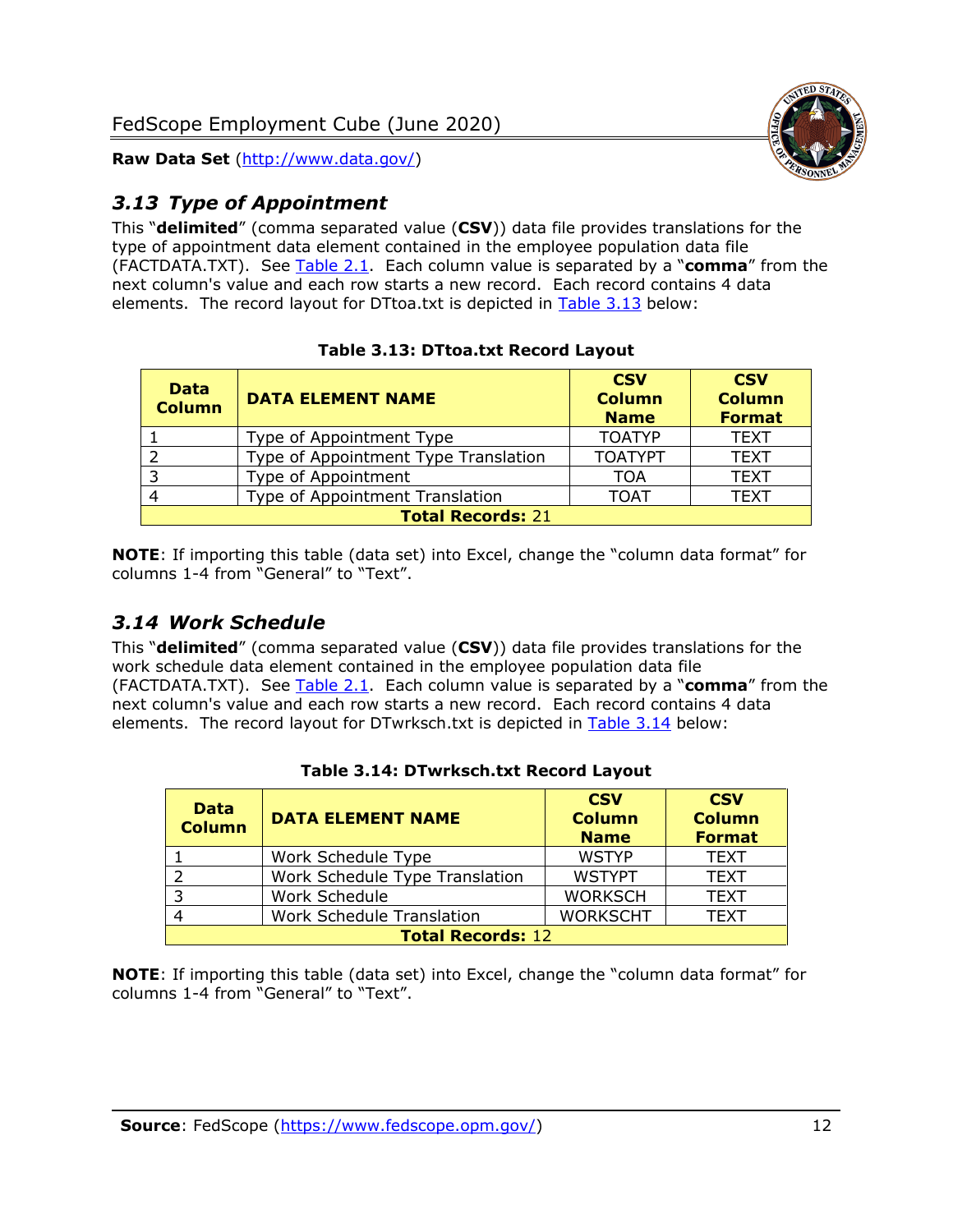

## <span id="page-12-0"></span>*3.13 Type of Appointment*

This "**delimited**" (comma separated value (**CSV**)) data file provides translations for the type of appointment data element contained in the employee population data file (FACTDATA.TXT). See [Table 2.1.](#page-4-0) Each column value is separated by a "**comma**" from the next column's value and each row starts a new record. Each record contains 4 data elements. The record layout for DTtoa.txt is depicted in [Table 3.13](#page-12-2) below:

<span id="page-12-2"></span>

| <b>Data</b><br><b>Column</b> | <b>DATA ELEMENT NAME</b>             | <b>CSV</b><br><b>Column</b><br><b>Name</b> | <b>CSV</b><br><b>Column</b><br><b>Format</b> |  |  |
|------------------------------|--------------------------------------|--------------------------------------------|----------------------------------------------|--|--|
|                              | Type of Appointment Type             | <b>TOATYP</b>                              | <b>TEXT</b>                                  |  |  |
|                              | Type of Appointment Type Translation | <b>TOATYPT</b>                             | <b>TEXT</b>                                  |  |  |
| 3                            | Type of Appointment                  | TOA                                        | <b>TEXT</b>                                  |  |  |
|                              | Type of Appointment Translation      | <b>TOAT</b>                                | <b>TEXT</b>                                  |  |  |
| <b>Total Records: 21</b>     |                                      |                                            |                                              |  |  |

**NOTE**: If importing this table (data set) into Excel, change the "column data format" for columns 1-4 from "General" to "Text".

## <span id="page-12-1"></span>*3.14 Work Schedule*

This "**delimited**" (comma separated value (**CSV**)) data file provides translations for the work schedule data element contained in the employee population data file (FACTDATA.TXT). See [Table 2.1.](#page-4-0) Each column value is separated by a "**comma**" from the next column's value and each row starts a new record. Each record contains 4 data elements. The record layout for DTwrksch.txt is depicted in [Table 3.14](#page-12-3) below:

<span id="page-12-3"></span>

| <b>Data</b><br><b>Column</b> | <b>DATA ELEMENT NAME</b>         | <b>CSV</b><br><b>Column</b><br><b>Name</b> | <b>CSV</b><br><b>Column</b><br><b>Format</b> |  |
|------------------------------|----------------------------------|--------------------------------------------|----------------------------------------------|--|
|                              | Work Schedule Type               | <b>WSTYP</b>                               | <b>TEXT</b>                                  |  |
|                              | Work Schedule Type Translation   | <b>WSTYPT</b>                              | <b>TEXT</b>                                  |  |
| -3                           | Work Schedule                    | <b>WORKSCH</b>                             | <b>TEXT</b>                                  |  |
|                              | <b>Work Schedule Translation</b> | <b>WORKSCHT</b>                            | <b>TEXT</b>                                  |  |
| <b>Total Records: 12</b>     |                                  |                                            |                                              |  |

#### **Table 3.14: DTwrksch.txt Record Layout**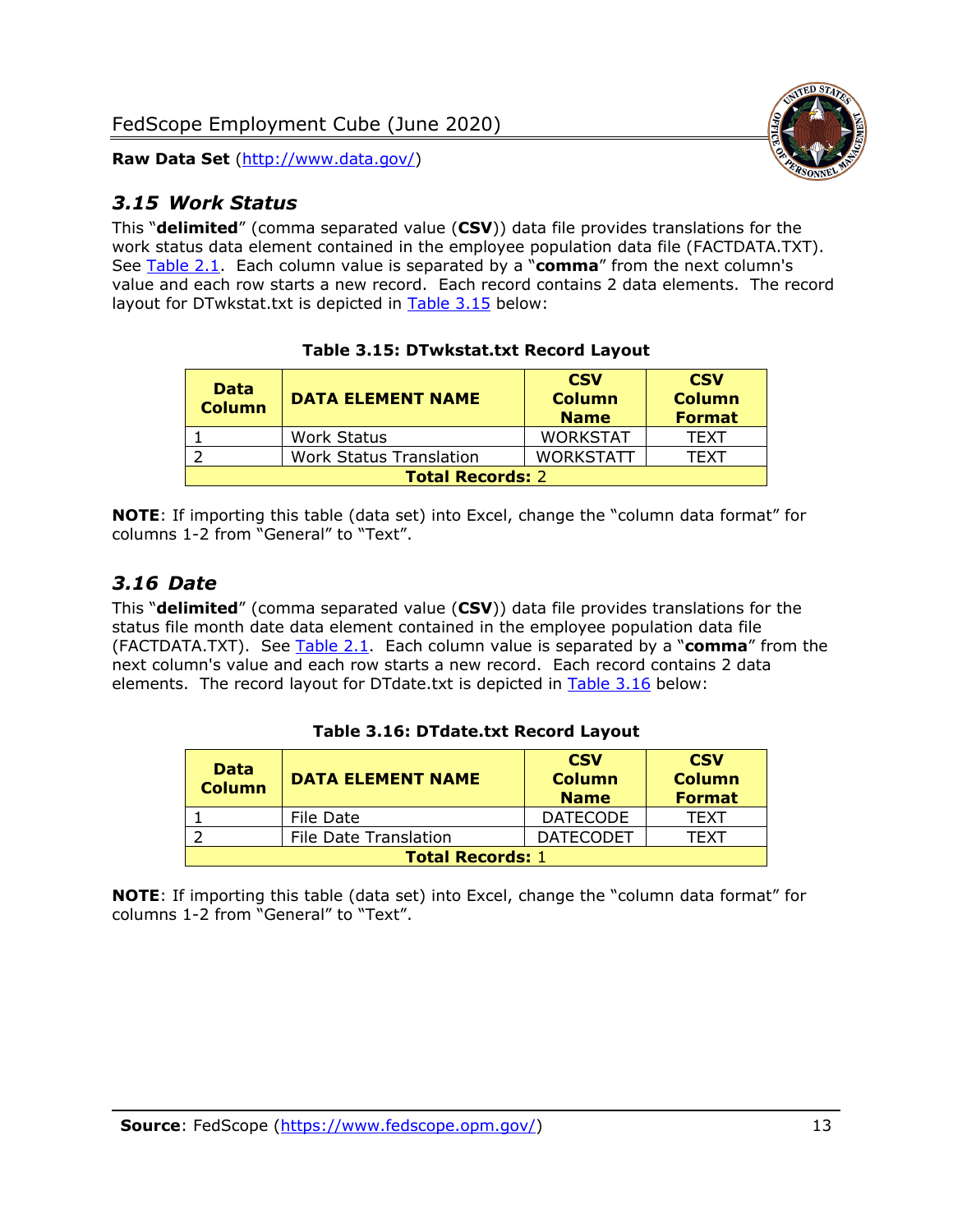

## <span id="page-13-0"></span>*3.15 Work Status*

This "**delimited**" (comma separated value (**CSV**)) data file provides translations for the work status data element contained in the employee population data file (FACTDATA.TXT). See [Table 2.1.](#page-4-0) Each column value is separated by a "**comma**" from the next column's value and each row starts a new record. Each record contains 2 data elements. The record layout for DTwkstat.txt is depicted in [Table 3.15](#page-13-2) below:

<span id="page-13-2"></span>

| <b>Data</b><br><b>Column</b> | <b>DATA ELEMENT NAME</b>       | <b>CSV</b><br><b>Column</b><br><b>Name</b> | <b>CSV</b><br><b>Column</b><br><b>Format</b> |
|------------------------------|--------------------------------|--------------------------------------------|----------------------------------------------|
|                              | <b>Work Status</b>             | <b>WORKSTAT</b>                            | <b>TEXT</b>                                  |
|                              | <b>Work Status Translation</b> | <b>WORKSTATT</b>                           | <b>TFXT</b>                                  |
| <b>Total Records: 2</b>      |                                |                                            |                                              |

## **Table 3.15: DTwkstat.txt Record Layout**

**NOTE**: If importing this table (data set) into Excel, change the "column data format" for columns 1-2 from "General" to "Text".

## <span id="page-13-1"></span>*3.16 Date*

This "**delimited**" (comma separated value (**CSV**)) data file provides translations for the status file month date data element contained in the employee population data file (FACTDATA.TXT). See [Table 2.1.](#page-4-0) Each column value is separated by a "**comma**" from the next column's value and each row starts a new record. Each record contains 2 data elements. The record layout for DTdate.txt is depicted in [Table 3.16](#page-13-3) below:

<span id="page-13-3"></span>

| <b>Data</b><br><b>Column</b> | <b>DATA ELEMENT NAME</b>     | <b>CSV</b><br><b>Column</b><br><b>Name</b> | <b>CSV</b><br><b>Column</b><br><b>Format</b> |
|------------------------------|------------------------------|--------------------------------------------|----------------------------------------------|
|                              | File Date                    | <b>DATECODE</b>                            | <b>TFXT</b>                                  |
|                              | <b>File Date Translation</b> | <b>DATECODET</b>                           | TFXT                                         |
| <b>Total Records: 1</b>      |                              |                                            |                                              |

#### **Table 3.16: DTdate.txt Record Layout**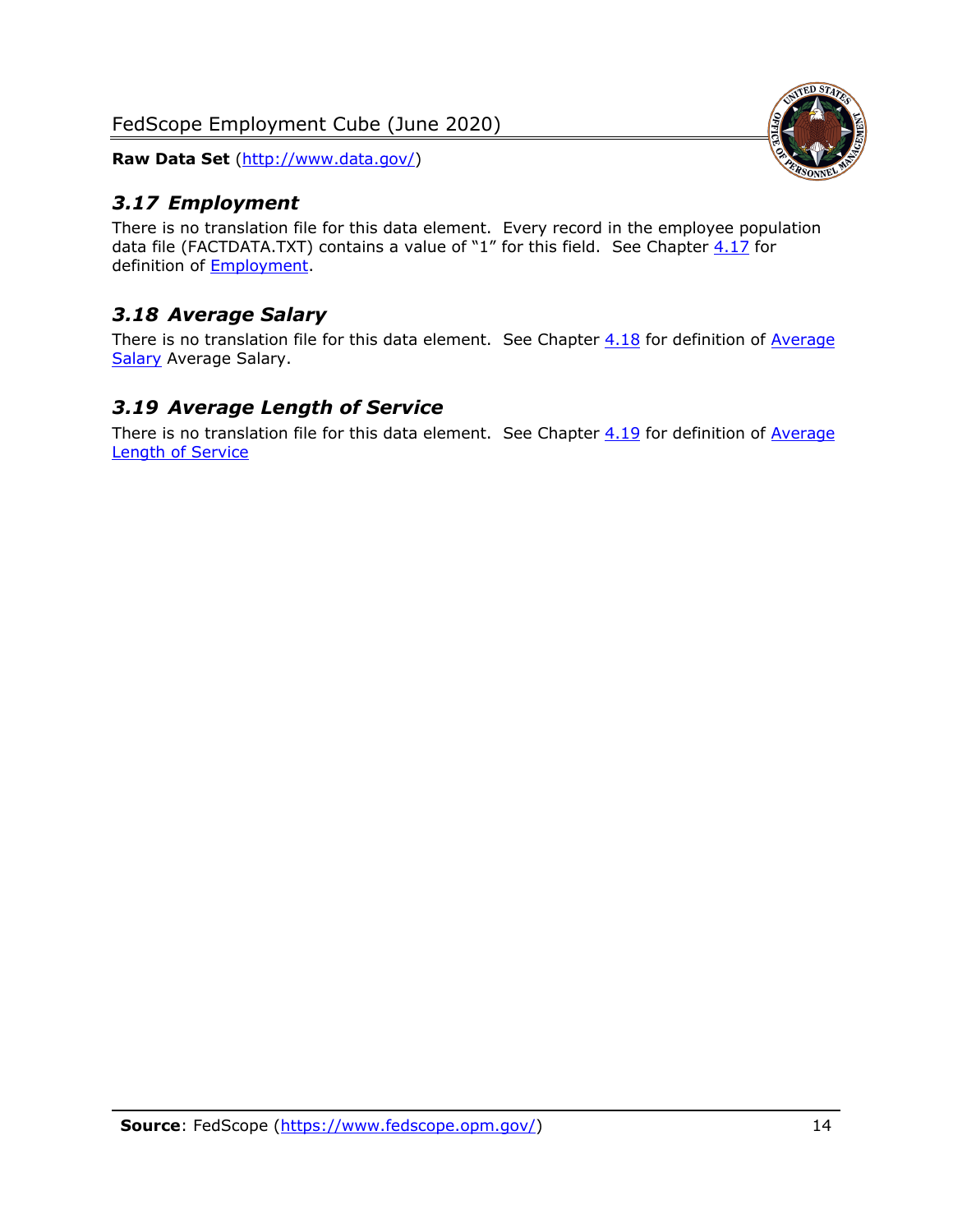## <span id="page-14-0"></span>*3.17 Employment*

There is no translation file for this data element. Every record in the employee population data file (FACTDATA.TXT) contains a value of "1" for this field. See Chapter  $4.17$  for definition of [Employment.](#page-17-0)

## <span id="page-14-1"></span>*3.18 Average Salary*

There is no translation file for this data element. See Chapter  $4.18$  for definition of Average [Salary](#page-17-1) [Average Salary.](#page-17-1)

## <span id="page-14-2"></span>*3.19 Average Length of Service*

There is no translation file for this data element. See Chapter  $4.19$  for definition of Average [Length of Service](#page-17-2)

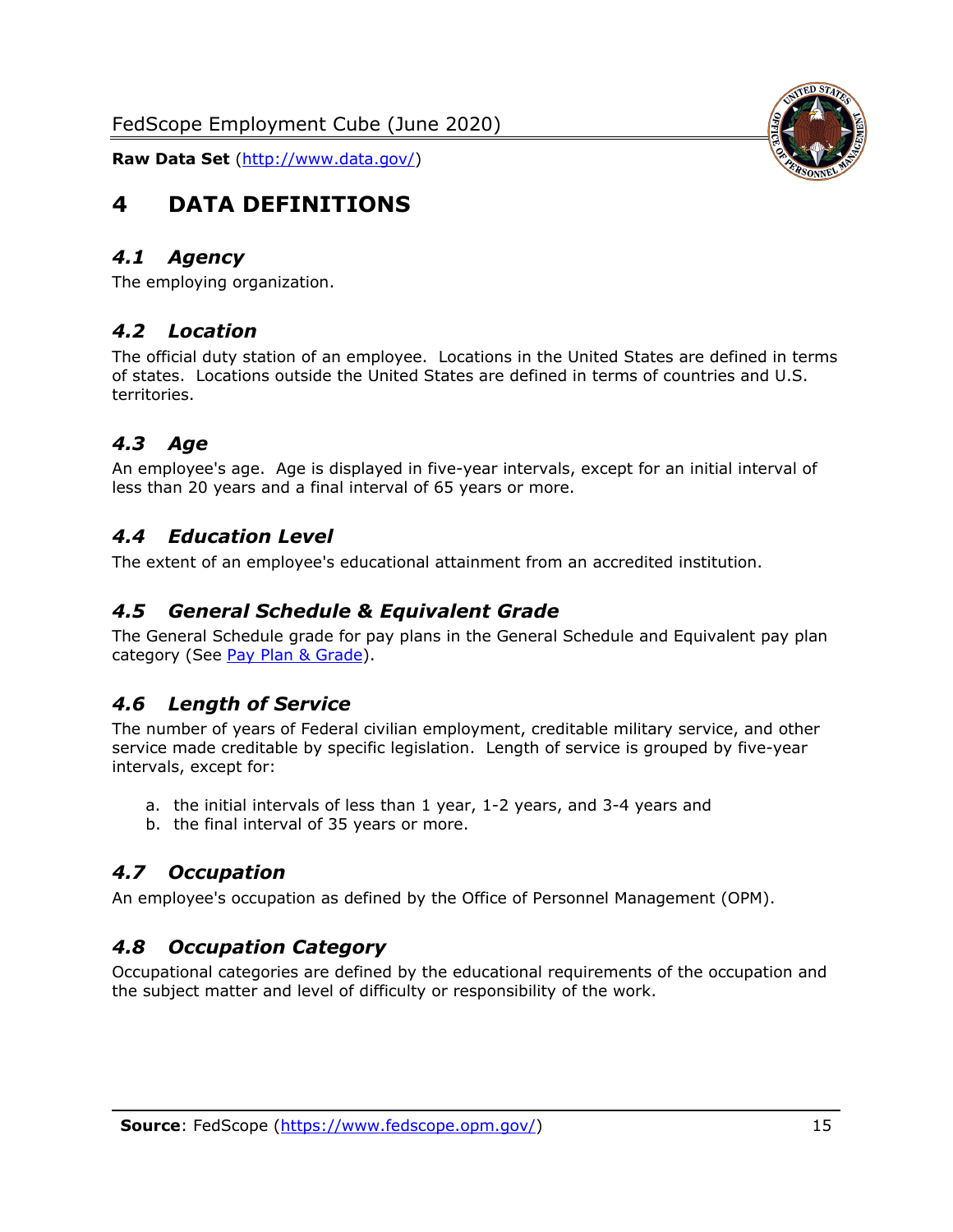<span id="page-15-0"></span>

### <span id="page-15-1"></span>*4.1 Agency*

<span id="page-15-2"></span>The employing organization.

## *4.2 Location*

The official duty station of an employee. Locations in the United States are defined in terms of states. Locations outside the United States are defined in terms of countries and U.S. territories.

## <span id="page-15-3"></span>*4.3 Age*

An employee's age. Age is displayed in five-year intervals, except for an initial interval of less than 20 years and a final interval of 65 years or more.

## <span id="page-15-4"></span>*4.4 Education Level*

<span id="page-15-5"></span>The extent of an employee's educational attainment from an accredited institution.

#### *4.5 General Schedule & Equivalent Grade*

The General Schedule grade for pay plans in the General Schedule and Equivalent pay plan category (See [Pay Plan & Grade\)](#page-16-0).

## <span id="page-15-6"></span>*4.6 Length of Service*

The number of years of Federal civilian employment, creditable military service, and other service made creditable by specific legislation. Length of service is grouped by five-year intervals, except for:

- a. the initial intervals of less than 1 year, 1-2 years, and 3-4 years and
- b. the final interval of 35 years or more.

## <span id="page-15-7"></span>*4.7 Occupation*

<span id="page-15-8"></span>An employee's occupation as defined by the Office of Personnel Management (OPM).

## *4.8 Occupation Category*

Occupational categories are defined by the educational requirements of the occupation and the subject matter and level of difficulty or responsibility of the work.

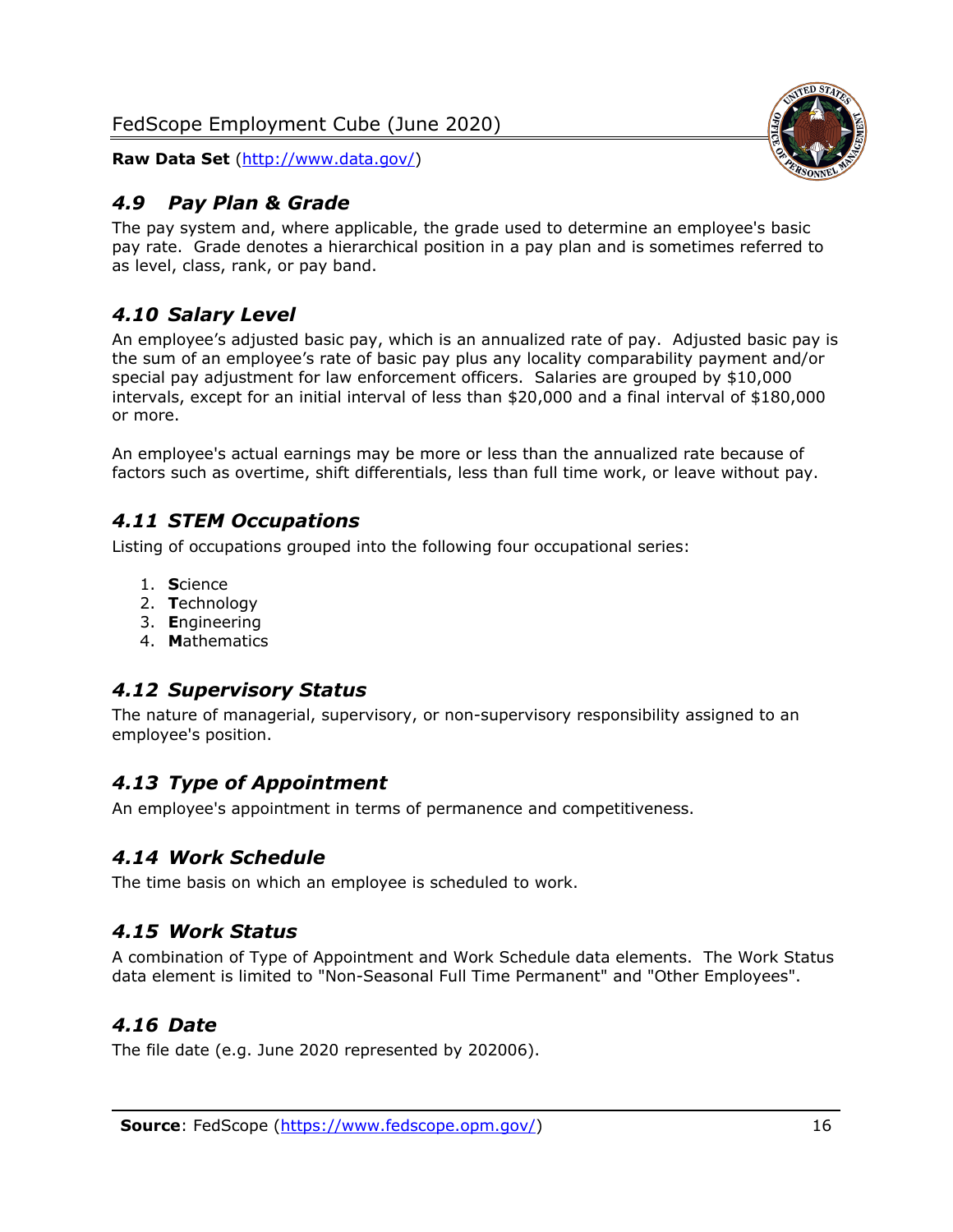

## <span id="page-16-0"></span>*4.9 Pay Plan & Grade*

The pay system and, where applicable, the grade used to determine an employee's basic pay rate. Grade denotes a hierarchical position in a pay plan and is sometimes referred to as level, class, rank, or pay band.

## <span id="page-16-1"></span>*4.10 Salary Level*

An employee's adjusted basic pay, which is an annualized rate of pay. Adjusted basic pay is the sum of an employee's rate of basic pay plus any locality comparability payment and/or special pay adjustment for law enforcement officers. Salaries are grouped by \$10,000 intervals, except for an initial interval of less than \$20,000 and a final interval of \$180,000 or more.

An employee's actual earnings may be more or less than the annualized rate because of factors such as overtime, shift differentials, less than full time work, or leave without pay.

## <span id="page-16-2"></span>*4.11 STEM Occupations*

Listing of occupations grouped into the following four occupational series:

- 1. **S**cience
- 2. **T**echnology
- 3. **E**ngineering
- 4. **M**athematics

## <span id="page-16-3"></span>*4.12 Supervisory Status*

The nature of managerial, supervisory, or non-supervisory responsibility assigned to an employee's position.

## <span id="page-16-4"></span>*4.13 Type of Appointment*

<span id="page-16-5"></span>An employee's appointment in terms of permanence and competitiveness.

## *4.14 Work Schedule*

<span id="page-16-6"></span>The time basis on which an employee is scheduled to work.

## *4.15 Work Status*

A combination of Type of Appointment and Work Schedule data elements. The Work Status data element is limited to "Non-Seasonal Full Time Permanent" and "Other Employees".

## <span id="page-16-7"></span>*4.16 Date*

<span id="page-16-8"></span>The file date (e.g. June 2020 represented by 202006).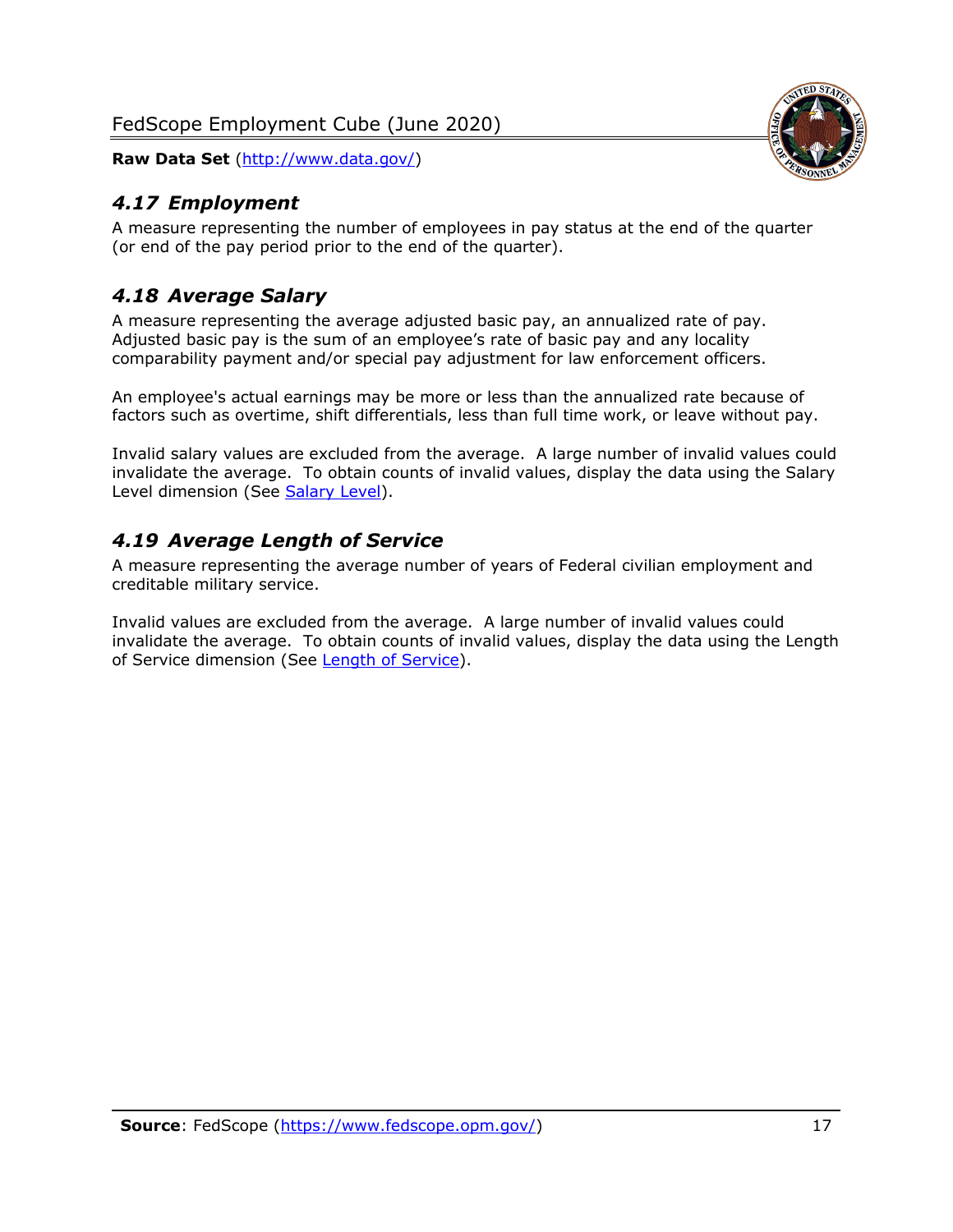<span id="page-17-0"></span>

A measure representing the number of employees in pay status at the end of the quarter (or end of the pay period prior to the end of the quarter).

## <span id="page-17-1"></span>*4.18 Average Salary*

A measure representing the average adjusted basic pay, an annualized rate of pay. Adjusted basic pay is the sum of an employee's rate of basic pay and any locality comparability payment and/or special pay adjustment for law enforcement officers.

An employee's actual earnings may be more or less than the annualized rate because of factors such as overtime, shift differentials, less than full time work, or leave without pay.

Invalid salary values are excluded from the average. A large number of invalid values could invalidate the average. To obtain counts of invalid values, display the data using the Salary Level dimension (See [Salary Level\)](#page-16-1).

## <span id="page-17-2"></span>*4.19 Average Length of Service*

A measure representing the average number of years of Federal civilian employment and creditable military service.

Invalid values are excluded from the average. A large number of invalid values could invalidate the average. To obtain counts of invalid values, display the data using the Length of Service dimension (See [Length of Service\)](#page-15-6).